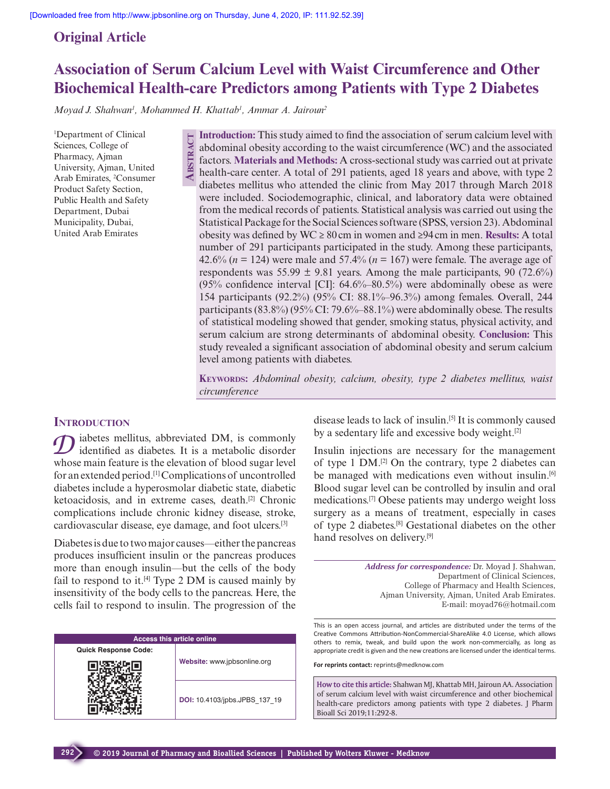# **Original Article**

# **Association of Serum Calcium Level with Waist Circumference and Other Biochemical Health-care Predictors among Patients with Type 2 Diabetes**

*Moyad J. Shahwan1 , Mohammed H. Khattab1 , Ammar A. Jairoun2*

**Abstr**

**act**

1 Department of Clinical Sciences, College of Pharmacy, Ajman University, Ajman, United Arab Emirates, 2 Consumer Product Safety Section, Public Health and Safety Department, Dubai Municipality, Dubai, United Arab Emirates

**Introduction:** This study aimed to find the association of serum calcium level with abdominal obesity according to the waist circumference (WC) and the associated factors. **Materials and Methods:** A cross-sectional study was carried out at private health-care center. A total of 291 patients, aged 18 years and above, with type 2 diabetes mellitus who attended the clinic from May 2017 through March 2018 were included. Sociodemographic, clinical, and laboratory data were obtained from the medical records of patients. Statistical analysis was carried out using the Statistical Package for the Social Sciences software (SPSS, version 23). Abdominal obesity was defined by WC ≥ 80cm in women and ≥94cm in men. **Results:** A total number of 291 participants participated in the study. Among these participants, 42.6% (*n* = 124) were male and 57.4% (*n* = 167) were female. The average age of respondents was  $55.99 \pm 9.81$  years. Among the male participants, 90 (72.6%) (95% confidence interval [CI]: 64.6%–80.5%) were abdominally obese as were 154 participants (92.2%) (95% CI: 88.1%–96.3%) among females. Overall, 244 participants  $(83.8\%)$   $(95\%$  CI: 79.6%–88.1%) were abdominally obese. The results of statistical modeling showed that gender, smoking status, physical activity, and serum calcium are strong determinants of abdominal obesity. **Conclusion:** This study revealed a significant association of abdominal obesity and serum calcium level among patients with diabetes.

**Keywords:** *Abdominal obesity, calcium, obesity, type 2 diabetes mellitus, waist circumference*

# **INTRODUCTION**

iabetes mellitus, abbreviated DM, is commonly identified as diabetes. It is a metabolic disorder whose main feature is the elevation of blood sugar level for an extended period.[1] Complications of uncontrolled diabetes include a hyperosmolar diabetic state, diabetic ketoacidosis, and in extreme cases, death.[2] Chronic complications include chronic kidney disease, stroke, cardiovascular disease, eye damage, and foot ulcers.[3]

Diabetes is due to two major causes—either the pancreas produces insufficient insulin or the pancreas produces more than enough insulin—but the cells of the body fail to respond to it.<sup>[4]</sup> Type 2 DM is caused mainly by insensitivity of the body cells to the pancreas. Here, the cells fail to respond to insulin. The progression of the

| <b>Access this article online</b> |                               |  |  |
|-----------------------------------|-------------------------------|--|--|
| <b>Quick Response Code:</b>       |                               |  |  |
|                                   | Website: www.jpbsonline.org   |  |  |
|                                   | DOI: 10.4103/jpbs.JPBS 137 19 |  |  |

disease leads to lack of insulin.[5] It is commonly caused by a sedentary life and excessive body weight.<sup>[2]</sup>

Insulin injections are necessary for the management of type 1  $DM$ .<sup>[2]</sup> On the contrary, type 2 diabetes can be managed with medications even without insulin.[6] Blood sugar level can be controlled by insulin and oral medications.[7] Obese patients may undergo weight loss surgery as a means of treatment, especially in cases of type 2 diabetes.[8] Gestational diabetes on the other hand resolves on delivery.<sup>[9]</sup>

> *Address for correspondence:* Dr. Moyad J. Shahwan, Department of Clinical Sciences, College of Pharmacy and Health Sciences, Ajman University, Ajman, United Arab Emirates. E-mail: moyad76@hotmail.com

This is an open access journal, and articles are distributed under the terms of the Creative Commons Attribution-NonCommercial-ShareAlike 4.0 License, which allows others to remix, tweak, and build upon the work non-commercially, as long as appropriate credit is given and the new creations are licensed under the identical terms.

**For reprints contact:** reprints@medknow.com

**How to cite this article:** Shahwan MJ, Khattab MH, Jairoun AA. Association of serum calcium level with waist circumference and other biochemical health-care predictors among patients with type 2 diabetes. J Pharm Bioall Sci 2019;11:292-8.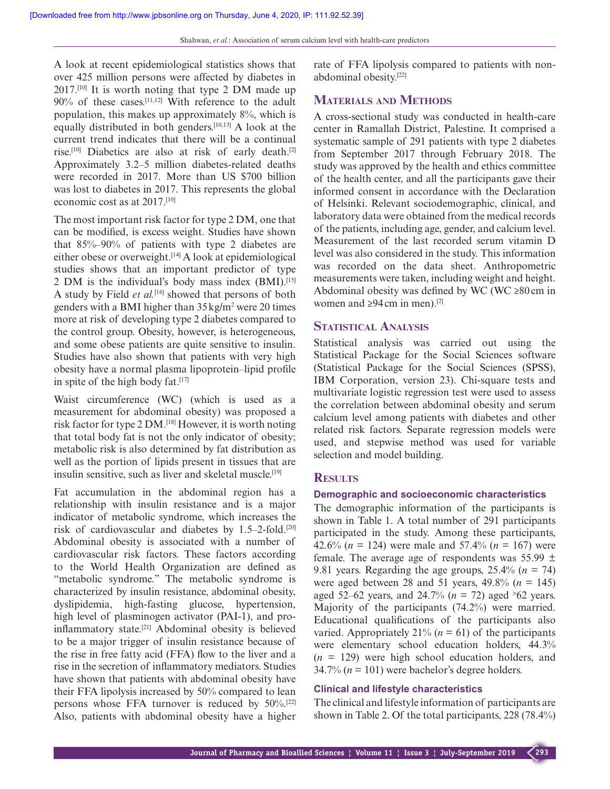A look at recent epidemiological statistics shows that over 425 million persons were affected by diabetes in 2017.[10] It is worth noting that type 2 DM made up 90% of these cases.[11,12] With reference to the adult population, this makes up approximately 8%, which is equally distributed in both genders.[10,13] A look at the current trend indicates that there will be a continual rise.[10] Diabetics are also at risk of early death.[2] Approximately 3.2–5 million diabetes-related deaths were recorded in 2017. More than US \$700 billion was lost to diabetes in 2017. This represents the global economic cost as at 2017.[10]

The most important risk factor for type 2 DM, one that can be modified, is excess weight. Studies have shown that 85%–90% of patients with type 2 diabetes are either obese or overweight.<sup>[14]</sup> A look at epidemiological studies shows that an important predictor of type 2 DM is the individual's body mass index (BMI).[15] A study by Field *et al.*<sup>[16]</sup> showed that persons of both genders with a BMI higher than  $35 \text{ kg/m}^2$  were 20 times more at risk of developing type 2 diabetes compared to the control group. Obesity, however, is heterogeneous, and some obese patients are quite sensitive to insulin. Studies have also shown that patients with very high obesity have a normal plasma lipoprotein–lipid profile in spite of the high body fat. $[17]$ 

Waist circumference (WC) (which is used as a measurement for abdominal obesity) was proposed a risk factor for type 2 DM.[18] However, it is worth noting that total body fat is not the only indicator of obesity; metabolic risk is also determined by fat distribution as well as the portion of lipids present in tissues that are insulin sensitive, such as liver and skeletal muscle.<sup>[19]</sup>

Fat accumulation in the abdominal region has a relationship with insulin resistance and is a major indicator of metabolic syndrome, which increases the risk of cardiovascular and diabetes by  $1.5-2$ -fold.<sup>[20]</sup> Abdominal obesity is associated with a number of cardiovascular risk factors. These factors according to the World Health Organization are defined as "metabolic syndrome." The metabolic syndrome is characterized by insulin resistance, abdominal obesity, dyslipidemia, high-fasting glucose, hypertension, high level of plasminogen activator (PAI-1), and proinflammatory state.[21] Abdominal obesity is believed to be a major trigger of insulin resistance because of the rise in free fatty acid (FFA) flow to the liver and a rise in the secretion of inflammatory mediators. Studies have shown that patients with abdominal obesity have their FFA lipolysis increased by 50% compared to lean persons whose FFA turnover is reduced by 50%.[22] Also, patients with abdominal obesity have a higher

rate of FFA lipolysis compared to patients with nonabdominal obesity.[22]

# **Materials and Methods**

A cross-sectional study was conducted in health-care center in Ramallah District, Palestine. It comprised a systematic sample of 291 patients with type 2 diabetes from September 2017 through February 2018. The study was approved by the health and ethics committee of the health center, and all the participants gave their informed consent in accordance with the Declaration of Helsinki. Relevant sociodemographic, clinical, and laboratory data were obtained from the medical records of the patients, including age, gender, and calcium level. Measurement of the last recorded serum vitamin D level was also considered in the study. This information was recorded on the data sheet. Anthropometric measurements were taken, including weight and height. Abdominal obesity was defined by WC (WC  $\geq$ 80cm in women and  $\geq 94$  cm in men).<sup>[2]</sup>

#### **Statistical Analysis**

Statistical analysis was carried out using the Statistical Package for the Social Sciences software (Statistical Package for the Social Sciences (SPSS), IBM Corporation, version 23). Chi-square tests and multivariate logistic regression test were used to assess the correlation between abdominal obesity and serum calcium level among patients with diabetes and other related risk factors. Separate regression models were used, and stepwise method was used for variable selection and model building.

## **Results**

#### **Demographic and socioeconomic characteristics**

The demographic information of the participants is shown in Table 1. A total number of 291 participants participated in the study. Among these participants, 42.6% (*n* = 124) were male and 57.4% (*n* = 167) were female. The average age of respondents was  $55.99 \pm$ 9.81 years. Regarding the age groups,  $25.4\%$  ( $n = 74$ ) were aged between 28 and 51 years,  $49.8\%$  ( $n = 145$ ) aged 52–62 years, and 24.7% ( $n = 72$ ) aged  $\geq 62$  years. Majority of the participants (74.2%) were married. Educational qualifications of the participants also varied. Appropriately  $21\%$  ( $n = 61$ ) of the participants were elementary school education holders, 44.3%  $(n = 129)$  were high school education holders, and  $34.7\%$  ( $n = 101$ ) were bachelor's degree holders.

# **Clinical and lifestyle characteristics**

The clinical and lifestyle information of participants are shown in Table 2. Of the total participants, 228 (78.4%)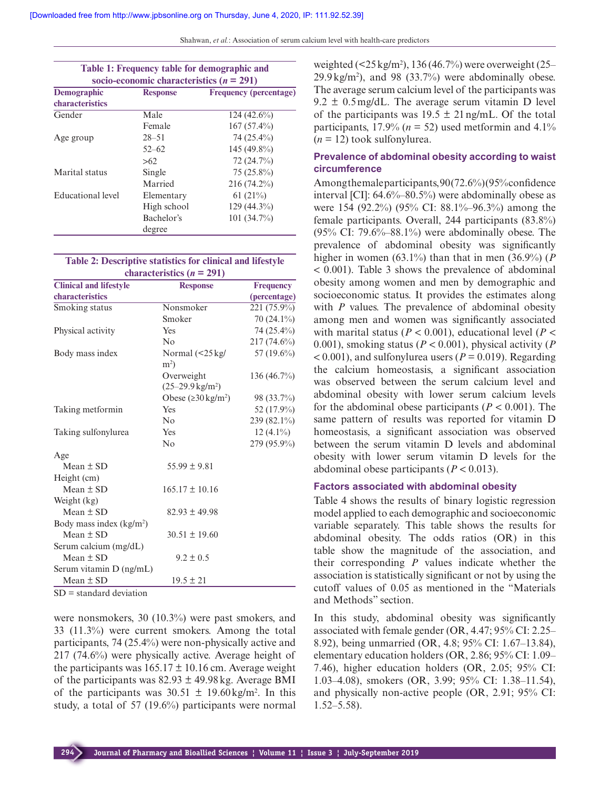Shahwan, *et al.*: Association of serum calcium level with health-care predictors

| Table 1: Frequency table for demographic and<br>socio-economic characteristics ( $n = 291$ ) |                 |                               |  |
|----------------------------------------------------------------------------------------------|-----------------|-------------------------------|--|
| Demographic                                                                                  | <b>Response</b> | <b>Frequency (percentage)</b> |  |
| characteristics                                                                              |                 |                               |  |
| Gender                                                                                       | Male            | $124(42.6\%)$                 |  |
|                                                                                              | Female          | $167(57.4\%)$                 |  |
| Age group                                                                                    | $28 - 51$       | 74 (25.4%)                    |  |
|                                                                                              | $52 - 62$       | 145 (49.8%)                   |  |
|                                                                                              | >62             | 72 (24.7%)                    |  |
| Marital status                                                                               | Single          | $75(25.8\%)$                  |  |
|                                                                                              | Married         | $216(74.2\%)$                 |  |
| Educational level                                                                            | Elementary      | 61 $(21\%)$                   |  |
|                                                                                              | High school     | $129(44.3\%)$                 |  |
|                                                                                              | Bachelor's      | $101(34.7\%)$                 |  |
|                                                                                              | degree          |                               |  |

#### **Table 2: Descriptive statistics for clinical and lifestyle**  characteristics  $(n = 291)$

| <b>Clinical and lifestyle</b>            | <b>Response</b>                                           | <b>Frequency</b> |
|------------------------------------------|-----------------------------------------------------------|------------------|
| characteristics                          |                                                           | (percentage)     |
| Smoking status                           | Nonsmoker                                                 | 221 (75.9%)      |
|                                          | Smoker                                                    | 70 (24.1%)       |
| Physical activity                        | Yes                                                       | 74 (25.4%)       |
|                                          | No                                                        | $217(74.6\%)$    |
| Body mass index                          | Normal $\left( < 25 \text{ kg} \right)$<br>m <sup>2</sup> | 57 (19.6%)       |
|                                          | Overweight<br>$(25-29.9 \text{ kg/m}^2)$                  | $136(46.7\%)$    |
|                                          | Obese $(230 \text{ kg/m}^2)$                              | 98 (33.7%)       |
| Taking metformin                         | Yes                                                       | 52 (17.9%)       |
|                                          | No                                                        | 239 (82.1%)      |
| Taking sulfonylurea                      | Yes                                                       | $12(4.1\%)$      |
|                                          | No                                                        | 279 (95.9%)      |
| Age                                      |                                                           |                  |
| Mean $\pm$ SD                            | $55.99 \pm 9.81$                                          |                  |
| Height (cm)                              |                                                           |                  |
| Mean $\pm$ SD                            | $165.17 \pm 10.16$                                        |                  |
| Weight (kg)                              |                                                           |                  |
| Mean $\pm$ SD                            | $82.93 \pm 49.98$                                         |                  |
| Body mass index $(kg/m2)$                |                                                           |                  |
| Mean $\pm$ SD                            | $30.51 \pm 19.60$                                         |                  |
| Serum calcium (mg/dL)                    |                                                           |                  |
| Mean $\pm$ SD                            | $9.2 \pm 0.5$                                             |                  |
| Serum vitamin D (ng/mL)<br>Mean $\pm$ SD | $19.5 \pm 21$                                             |                  |

SD = standard deviation

were nonsmokers, 30 (10.3%) were past smokers, and 33 (11.3%) were current smokers. Among the total participants, 74 (25.4%) were non-physically active and 217 (74.6%) were physically active. Average height of the participants was  $165.17 \pm 10.16$  cm. Average weight of the participants was  $82.93 \pm 49.98$  kg. Average BMI of the participants was  $30.51 \pm 19.60 \text{ kg/m}^2$ . In this study, a total of 57 (19.6%) participants were normal

weighted  $(\leq 25 \text{ kg/m}^2)$ , 136 (46.7%) were overweight (25–  $29.9 \text{ kg/m}^2$ ), and 98 (33.7%) were abdominally obese. The average serum calcium level of the participants was  $9.2 \pm 0.5$  mg/dL. The average serum vitamin D level of the participants was  $19.5 \pm 21$  ng/mL. Of the total participants,  $17.9\%$  ( $n = 52$ ) used metformin and  $4.1\%$  $(n = 12)$  took sulfonylurea.

### **Prevalence of abdominal obesity according to waist circumference**

Among the male participants,  $90(72.6\%)$  (95% confidence) interval [CI]:  $64.6\% - 80.5\%$ ) were abdominally obese as were 154 (92.2%) (95% CI: 88.1%–96.3%) among the female participants. Overall, 244 participants (83.8%)  $(95\% \text{ CI: } 79.6\% - 88.1\%)$  were abdominally obese. The prevalence of abdominal obesity was significantly higher in women (63.1%) than that in men (36.9%) (*P* < 0.001). Table 3 shows the prevalence of abdominal obesity among women and men by demographic and socioeconomic status. It provides the estimates along with *P* values. The prevalence of abdominal obesity among men and women was significantly associated with marital status ( $P < 0.001$ ), educational level ( $P <$ 0.001), smoking status (*P* < 0.001), physical activity (*P*  $< 0.001$ ), and sulfonylurea users ( $P = 0.019$ ). Regarding the calcium homeostasis, a significant association was observed between the serum calcium level and abdominal obesity with lower serum calcium levels for the abdominal obese participants  $(P < 0.001)$ . The same pattern of results was reported for vitamin D homeostasis, a significant association was observed between the serum vitamin D levels and abdominal obesity with lower serum vitamin D levels for the abdominal obese participants (*P* < 0.013).

#### **Factors associated with abdominal obesity**

Table 4 shows the results of binary logistic regression model applied to each demographic and socioeconomic variable separately. This table shows the results for abdominal obesity. The odds ratios (OR) in this table show the magnitude of the association, and their corresponding *P* values indicate whether the association is statistically significant or not by using the cutoff values of 0.05 as mentioned in the "Materials and Methods" section.

In this study, abdominal obesity was significantly associated with female gender (OR, 4.47; 95% CI: 2.25– 8.92), being unmarried (OR, 4.8; 95% CI: 1.67–13.84), elementary education holders (OR, 2.86; 95% CI: 1.09– 7.46), higher education holders (OR, 2.05; 95% CI: 1.03–4.08), smokers (OR, 3.99; 95% CI: 1.38–11.54), and physically non-active people (OR, 2.91; 95% CI: 1.52–5.58).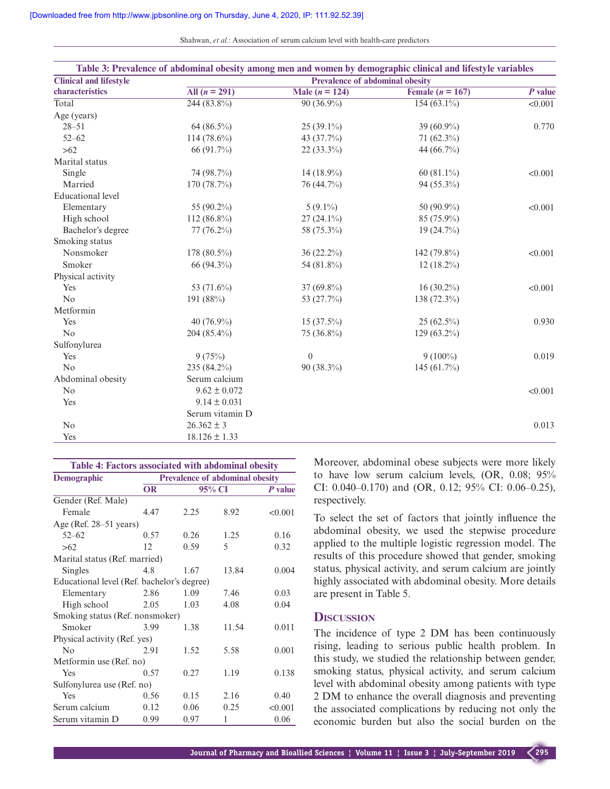Shahwan, *et al.*: Association of serum calcium level with health-care predictors

|                               |                   |                                        | Table 3: Prevalence of abdominal obesity among men and women by demographic clinical and lifestyle variables |                      |  |  |
|-------------------------------|-------------------|----------------------------------------|--------------------------------------------------------------------------------------------------------------|----------------------|--|--|
| <b>Clinical and lifestyle</b> |                   | <b>Prevalence of abdominal obesity</b> |                                                                                                              |                      |  |  |
| characteristics               | All $(n = 291)$   | Male $(n = 124)$                       | Female $(n = 167)$                                                                                           | $\overline{P}$ value |  |  |
| Total                         | $244(83.8\%)$     | $90(36.9\%)$                           | $154(63.1\%)$                                                                                                | < 0.001              |  |  |
| Age (years)                   |                   |                                        |                                                                                                              |                      |  |  |
| $28 - 51$                     | 64 (86.5%)        | $25(39.1\%)$                           | 39 $(60.9\%)$                                                                                                | 0.770                |  |  |
| $52 - 62$                     | 114 (78.6%)       | 43 (37.7%)                             | 71 $(62.3\%)$                                                                                                |                      |  |  |
| $>62$                         | 66 (91.7%)        | 22 (33.3%)                             | 44 (66.7%)                                                                                                   |                      |  |  |
| Marital status                |                   |                                        |                                                                                                              |                      |  |  |
| Single                        | 74 (98.7%)        | 14 (18.9%)                             | 60 $(81.1\%)$                                                                                                | < 0.001              |  |  |
| Married                       | 170 (78.7%)       | 76 (44.7%)                             | 94 (55.3%)                                                                                                   |                      |  |  |
| <b>Educational level</b>      |                   |                                        |                                                                                                              |                      |  |  |
| Elementary                    | 55 (90.2%)        | $5(9.1\%)$                             | 50 (90.9%)                                                                                                   | < 0.001              |  |  |
| High school                   | $112(86.8\%)$     | $27(24.1\%)$                           | $85(75.9\%)$                                                                                                 |                      |  |  |
| Bachelor's degree             | $77(76.2\%)$      | 58 (75.3%)                             | 19(24.7%)                                                                                                    |                      |  |  |
| Smoking status                |                   |                                        |                                                                                                              |                      |  |  |
| Nonsmoker                     | 178 (80.5%)       | 36 (22.2%)                             | 142 (79.8%)                                                                                                  | < 0.001              |  |  |
| Smoker                        | 66 (94.3%)        | 54 (81.8%)                             | $12(18.2\%)$                                                                                                 |                      |  |  |
| Physical activity             |                   |                                        |                                                                                                              |                      |  |  |
| Yes                           | 53 (71.6%)        | 37 (69.8%)                             | $16(30.2\%)$                                                                                                 | < 0.001              |  |  |
| N <sub>o</sub>                | 191 (88%)         | 53 (27.7%)                             | 138 (72.3%)                                                                                                  |                      |  |  |
| Metformin                     |                   |                                        |                                                                                                              |                      |  |  |
| Yes                           | 40 (76.9%)        | $15(37.5\%)$                           | $25(62.5\%)$                                                                                                 | 0.930                |  |  |
| N <sub>o</sub>                | 204 (85.4%)       | 75 (36.8%)                             | $129(63.2\%)$                                                                                                |                      |  |  |
| Sulfonylurea                  |                   |                                        |                                                                                                              |                      |  |  |
| Yes                           | 9(75%)            | $\theta$                               | $9(100\%)$                                                                                                   | 0.019                |  |  |
| No                            | $235(84.2\%)$     | 90 (38.3%)                             | 145 $(61.7\%)$                                                                                               |                      |  |  |
| Abdominal obesity             | Serum calcium     |                                        |                                                                                                              |                      |  |  |
| No                            | $9.62 \pm 0.072$  |                                        |                                                                                                              | < 0.001              |  |  |
| Yes                           | $9.14 \pm 0.031$  |                                        |                                                                                                              |                      |  |  |
|                               | Serum vitamin D   |                                        |                                                                                                              |                      |  |  |
| N <sub>o</sub>                | $26.362 \pm 3$    |                                        |                                                                                                              | 0.013                |  |  |
| Yes                           | $18.126 \pm 1.33$ |                                        |                                                                                                              |                      |  |  |

| Table 4: Factors associated with abdominal obesity |           |                                        |       |           |  |
|----------------------------------------------------|-----------|----------------------------------------|-------|-----------|--|
| Demographic                                        |           | <b>Prevalence of abdominal obesity</b> |       |           |  |
|                                                    | <b>OR</b> | 95% CI                                 |       | $P$ value |  |
| Gender (Ref. Male)                                 |           |                                        |       |           |  |
| Female                                             | 4.47      | 2.25                                   | 8.92  | < 0.001   |  |
| Age (Ref. 28-51 years)                             |           |                                        |       |           |  |
| $52 - 62$                                          | 0.57      | 0.26                                   | 1.25  | 0.16      |  |
| >62                                                | 12        | 0.59                                   | 5     | 0.32      |  |
| Marital status (Ref. married)                      |           |                                        |       |           |  |
| Singles                                            | 4.8       | 1.67                                   | 13.84 | 0.004     |  |
| Educational level (Ref. bachelor's degree)         |           |                                        |       |           |  |
| Elementary                                         | 2.86      | 1.09                                   | 7.46  | 0.03      |  |
| High school                                        | 2.05      | 1.03                                   | 4.08  | 0.04      |  |
| Smoking status (Ref. nonsmoker)                    |           |                                        |       |           |  |
| Smoker                                             | 3.99      | 1.38                                   | 11.54 | 0.011     |  |
| Physical activity (Ref. yes)                       |           |                                        |       |           |  |
| $\overline{N}_{0}$                                 | 2.91      | 1.52                                   | 5.58  | 0.001     |  |
| Metformin use (Ref. no)                            |           |                                        |       |           |  |
| Yes                                                | 0.57      | 0.27                                   | 1.19  | 0.138     |  |
| Sulfonylurea use (Ref. no)                         |           |                                        |       |           |  |
| Yes                                                | 0.56      | 0.15                                   | 2.16  | 0.40      |  |
| Serum calcium                                      | 0.12      | 0.06                                   | 0.25  | < 0.001   |  |
| Serum vitamin D                                    | 0.99      | 0.97                                   | 1     | 0.06      |  |

Moreover, abdominal obese subjects were more likely to have low serum calcium levels, (OR, 0.08; 95% CI: 0.040–0.170) and (OR, 0.12; 95% CI: 0.06–0.25), respectively.

To select the set of factors that jointly influence the abdominal obesity, we used the stepwise procedure applied to the multiple logistic regression model. The results of this procedure showed that gender, smoking status, physical activity, and serum calcium are jointly highly associated with abdominal obesity. More details are present in Table 5.

#### **Discussion**

The incidence of type 2 DM has been continuously rising, leading to serious public health problem. In this study, we studied the relationship between gender, smoking status, physical activity, and serum calcium level with abdominal obesity among patients with type 2 DM to enhance the overall diagnosis and preventing the associated complications by reducing not only the economic burden but also the social burden on the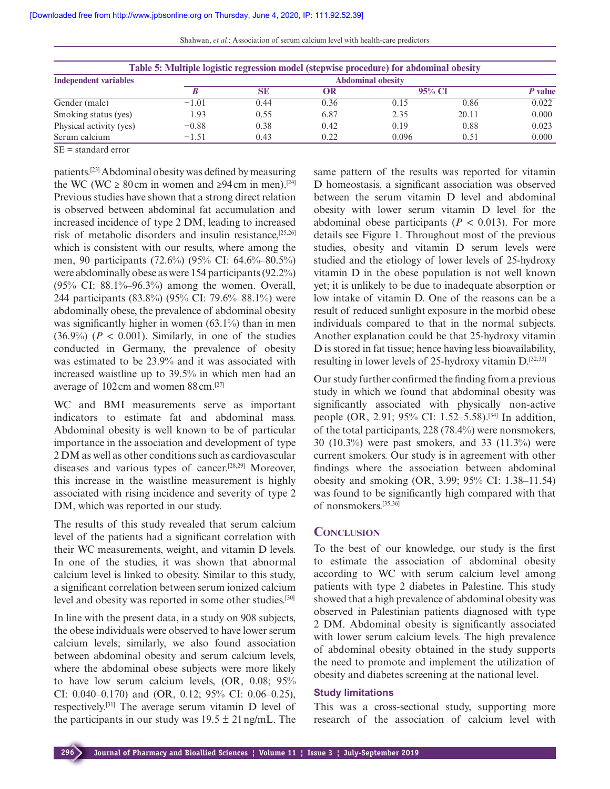|  |  |  | Shahwan, et al.: Association of serum calcium level with health-care predictors |
|--|--|--|---------------------------------------------------------------------------------|
|--|--|--|---------------------------------------------------------------------------------|

| Table 5: Multiple logistic regression model (stepwise procedure) for abdominal obesity |         |                          |      |        |       |         |
|----------------------------------------------------------------------------------------|---------|--------------------------|------|--------|-------|---------|
| <b>Independent variables</b>                                                           |         | <b>Abdominal obesity</b> |      |        |       |         |
|                                                                                        |         | <b>SE</b>                | OR   | 95% CI |       | P value |
| Gender (male)                                                                          | $-1.01$ | 0.44                     | 0.36 | 0.15   | 0.86  | 0.022   |
| Smoking status (yes)                                                                   | 1.93    | 0.55                     | 6.87 | 2.35   | 20.11 | 0.000   |
| Physical activity (yes)                                                                | $-0.88$ | 0.38                     | 0.42 | 0.19   | 0.88  | 0.023   |
| Serum calcium                                                                          | $-1.51$ | 0.43                     | 0.22 | 0.096  | 0.51  | 0.000   |

SE = standard error

patients.[23] Abdominal obesity was defined by measuring the WC (WC  $\geq 80$  cm in women and  $\geq 94$  cm in men).<sup>[24]</sup> Previous studies have shown that a strong direct relation is observed between abdominal fat accumulation and increased incidence of type 2 DM, leading to increased risk of metabolic disorders and insulin resistance,[25,26] which is consistent with our results, where among the men, 90 participants (72.6%) (95% CI: 64.6%–80.5%) were abdominally obese as were 154 participants (92.2%) (95% CI: 88.1%–96.3%) among the women. Overall, 244 participants (83.8%) (95% CI: 79.6%–88.1%) were abdominally obese, the prevalence of abdominal obesity was significantly higher in women (63.1%) than in men  $(36.9\%)$  ( $P < 0.001$ ). Similarly, in one of the studies conducted in Germany, the prevalence of obesity was estimated to be 23.9% and it was associated with increased waistline up to 39.5% in which men had an average of 102cm and women 88cm.[27]

WC and BMI measurements serve as important indicators to estimate fat and abdominal mass. Abdominal obesity is well known to be of particular importance in the association and development of type 2 DM as well as other conditions such as cardiovascular diseases and various types of cancer.[28,29] Moreover, this increase in the waistline measurement is highly associated with rising incidence and severity of type 2 DM, which was reported in our study.

The results of this study revealed that serum calcium level of the patients had a significant correlation with their WC measurements, weight, and vitamin D levels. In one of the studies, it was shown that abnormal calcium level is linked to obesity. Similar to this study, a significant correlation between serum ionized calcium level and obesity was reported in some other studies.[30]

In line with the present data, in a study on 908 subjects, the obese individuals were observed to have lower serum calcium levels; similarly, we also found association between abdominal obesity and serum calcium levels, where the abdominal obese subjects were more likely to have low serum calcium levels, (OR, 0.08; 95% CI: 0.040–0.170) and (OR, 0.12; 95% CI: 0.06–0.25), respectively.[31] The average serum vitamin D level of the participants in our study was  $19.5 \pm 21$  ng/mL. The

same pattern of the results was reported for vitamin D homeostasis, a significant association was observed between the serum vitamin D level and abdominal obesity with lower serum vitamin D level for the abdominal obese participants ( $P < 0.013$ ). For more details see Figure 1. Throughout most of the previous studies, obesity and vitamin D serum levels were studied and the etiology of lower levels of 25-hydroxy vitamin D in the obese population is not well known yet; it is unlikely to be due to inadequate absorption or low intake of vitamin D. One of the reasons can be a result of reduced sunlight exposure in the morbid obese individuals compared to that in the normal subjects. Another explanation could be that 25-hydroxy vitamin D is stored in fat tissue; hence having less bioavailability, resulting in lower levels of 25-hydroxy vitamin D.[32,33]

Our study further confirmed the finding from a previous study in which we found that abdominal obesity was significantly associated with physically non-active people (OR, 2.91; 95% CI: 1.52–5.58).[34] In addition, of the total participants, 228 (78.4%) were nonsmokers, 30 (10.3%) were past smokers, and 33 (11.3%) were current smokers. Our study is in agreement with other findings where the association between abdominal obesity and smoking (OR, 3.99; 95% CI: 1.38–11.54) was found to be significantly high compared with that of nonsmokers.[35,36]

# **Conclusion**

To the best of our knowledge, our study is the first to estimate the association of abdominal obesity according to WC with serum calcium level among patients with type 2 diabetes in Palestine. This study showed that a high prevalence of abdominal obesity was observed in Palestinian patients diagnosed with type 2 DM. Abdominal obesity is significantly associated with lower serum calcium levels. The high prevalence of abdominal obesity obtained in the study supports the need to promote and implement the utilization of obesity and diabetes screening at the national level.

#### **Study limitations**

This was a cross-sectional study, supporting more research of the association of calcium level with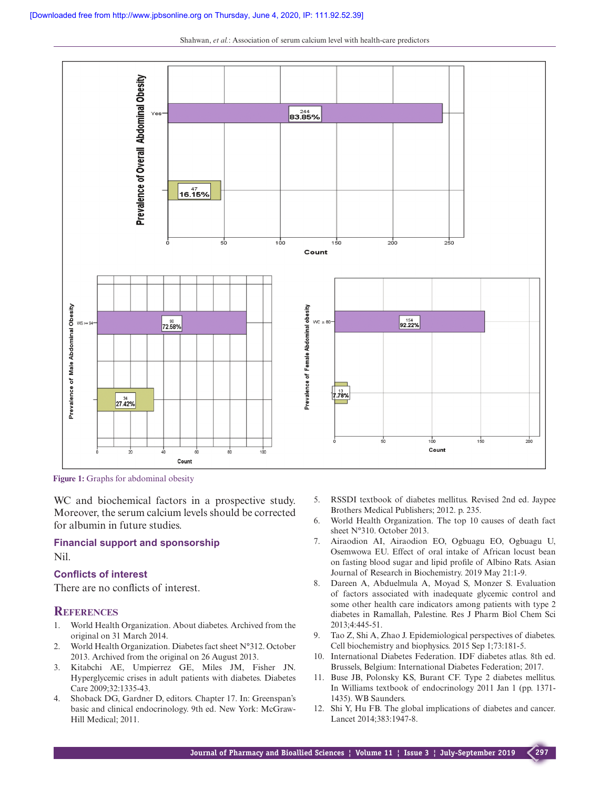

Shahwan, *et al.*: Association of serum calcium level with health-care predictors

**Figure 1:** Graphs for abdominal obesity

WC and biochemical factors in a prospective study. Moreover, the serum calcium levels should be corrected for albumin in future studies.

## **Financial support and sponsorship** Nil.

#### **Conflicts of interest**

There are no conflicts of interest.

#### **References**

- 1. World Health Organization. About diabetes. Archived from the original on 31 March 2014.
- 2. World Health Organization. Diabetes fact sheet N°312. October 2013. Archived from the original on 26 August 2013.
- 3. Kitabchi AE, Umpierrez GE, Miles JM, Fisher JN. Hyperglycemic crises in adult patients with diabetes. Diabetes Care 2009;32:1335-43.
- 4. Shoback DG, Gardner D, editors. Chapter 17. In: Greenspan's basic and clinical endocrinology. 9th ed. New York: McGraw-Hill Medical; 2011.
- 5. RSSDI textbook of diabetes mellitus. Revised 2nd ed. Jaypee Brothers Medical Publishers; 2012. p. 235.
- 6. World Health Organization. The top 10 causes of death fact sheet N°310. October 2013.
- 7. Airaodion AI, Airaodion EO, Ogbuagu EO, Ogbuagu U, Osemwowa EU. Effect of oral intake of African locust bean on fasting blood sugar and lipid profile of Albino Rats. Asian Journal of Research in Biochemistry. 2019 May 21:1-9.
- 8. Dareen A, Abduelmula A, Moyad S, Monzer S. Evaluation of factors associated with inadequate glycemic control and some other health care indicators among patients with type 2 diabetes in Ramallah, Palestine. Res J Pharm Biol Chem Sci 2013;4:445-51.
- 9. Tao Z, Shi A, Zhao J. Epidemiological perspectives of diabetes. Cell biochemistry and biophysics. 2015 Sep 1;73:181-5.
- 10. International Diabetes Federation. IDF diabetes atlas. 8th ed. Brussels, Belgium: International Diabetes Federation; 2017.
- 11. Buse JB, Polonsky KS, Burant CF. Type 2 diabetes mellitus. In Williams textbook of endocrinology 2011 Jan 1 (pp. 1371- 1435). WB Saunders.
- 12. Shi Y, Hu FB. The global implications of diabetes and cancer. Lancet 2014;383:1947-8.